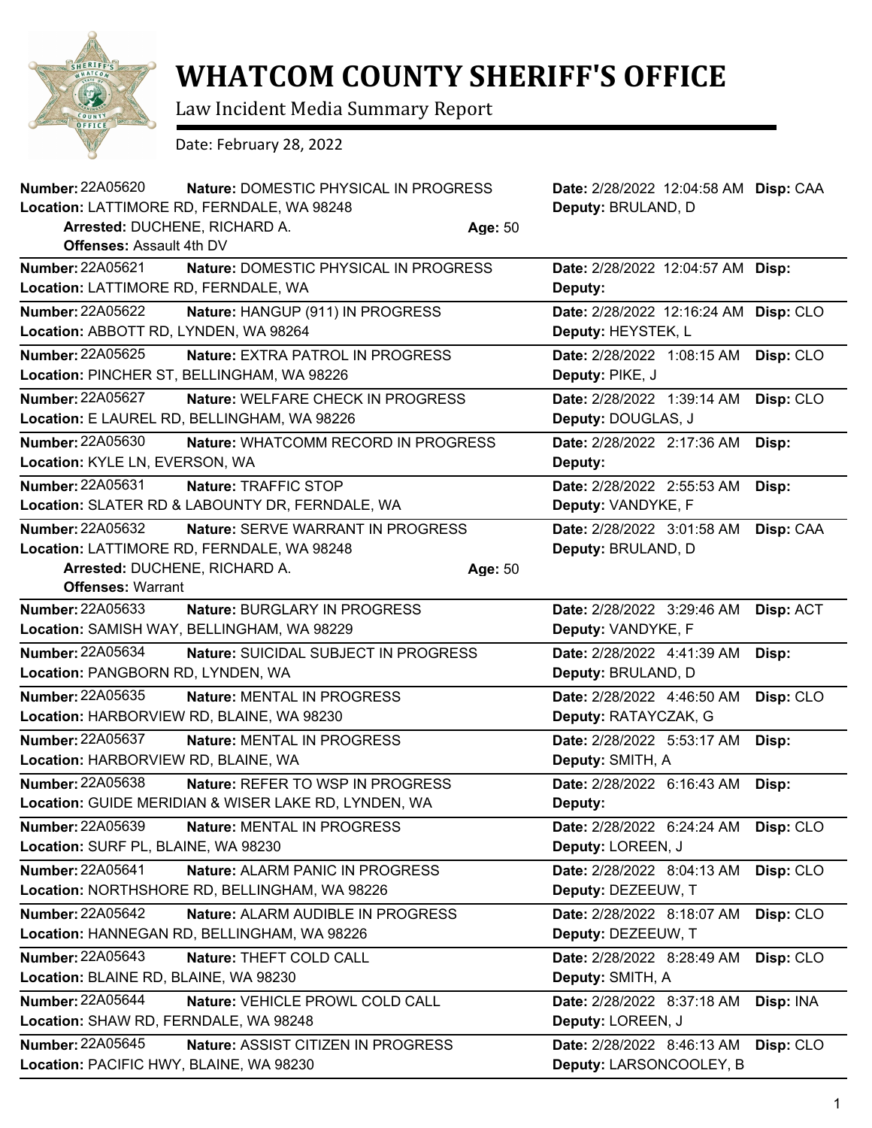

## **WHATCOM COUNTY SHERIFF'S OFFICE**

Law Incident Media Summary Report

Date: February 28, 2022

| <b>Number: 22A05620</b>                   | Nature: DOMESTIC PHYSICAL IN PROGRESS<br>Location: LATTIMORE RD, FERNDALE, WA 98248 |         | Date: 2/28/2022 12:04:58 AM Disp: CAA<br>Deputy: BRULAND, D |           |
|-------------------------------------------|-------------------------------------------------------------------------------------|---------|-------------------------------------------------------------|-----------|
| Arrested: DUCHENE, RICHARD A.             |                                                                                     | Age: 50 |                                                             |           |
| <b>Offenses: Assault 4th DV</b>           |                                                                                     |         |                                                             |           |
| <b>Number: 22A05621</b>                   | Nature: DOMESTIC PHYSICAL IN PROGRESS                                               |         | Date: 2/28/2022 12:04:57 AM Disp:                           |           |
| Location: LATTIMORE RD, FERNDALE, WA      |                                                                                     |         | Deputy:                                                     |           |
| Number: 22A05622                          | Nature: HANGUP (911) IN PROGRESS                                                    |         | Date: 2/28/2022 12:16:24 AM                                 | Disp: CLO |
| Location: ABBOTT RD, LYNDEN, WA 98264     |                                                                                     |         | Deputy: HEYSTEK, L                                          |           |
| <b>Number: 22A05625</b>                   | Nature: EXTRA PATROL IN PROGRESS                                                    |         | Date: 2/28/2022 1:08:15 AM                                  | Disp: CLO |
|                                           | Location: PINCHER ST, BELLINGHAM, WA 98226                                          |         | Deputy: PIKE, J                                             |           |
| <b>Number: 22A05627</b>                   | <b>Nature: WELFARE CHECK IN PROGRESS</b>                                            |         | Date: 2/28/2022 1:39:14 AM                                  | Disp: CLO |
|                                           | Location: E LAUREL RD, BELLINGHAM, WA 98226                                         |         | Deputy: DOUGLAS, J                                          |           |
| <b>Number: 22A05630</b>                   | Nature: WHATCOMM RECORD IN PROGRESS                                                 |         | Date: 2/28/2022 2:17:36 AM                                  | Disp:     |
| Location: KYLE LN, EVERSON, WA            |                                                                                     |         | Deputy:                                                     |           |
| <b>Number: 22A05631</b>                   | Nature: TRAFFIC STOP                                                                |         | Date: 2/28/2022 2:55:53 AM                                  | Disp:     |
|                                           | Location: SLATER RD & LABOUNTY DR, FERNDALE, WA                                     |         | Deputy: VANDYKE, F                                          |           |
| <b>Number: 22A05632</b>                   | <b>Nature: SERVE WARRANT IN PROGRESS</b>                                            |         | Date: 2/28/2022 3:01:58 AM                                  | Disp: CAA |
|                                           | Location: LATTIMORE RD, FERNDALE, WA 98248                                          |         | Deputy: BRULAND, D                                          |           |
| Arrested: DUCHENE, RICHARD A.             |                                                                                     | Age: 50 |                                                             |           |
| <b>Offenses: Warrant</b>                  |                                                                                     |         |                                                             |           |
| <b>Number: 22A05633</b>                   | Nature: BURGLARY IN PROGRESS                                                        |         | Date: 2/28/2022 3:29:46 AM                                  | Disp: ACT |
|                                           | Location: SAMISH WAY, BELLINGHAM, WA 98229                                          |         | Deputy: VANDYKE, F                                          |           |
| Number: 22A05634                          | <b>Nature: SUICIDAL SUBJECT IN PROGRESS</b>                                         |         | Date: 2/28/2022 4:41:39 AM                                  | Disp:     |
| Location: PANGBORN RD, LYNDEN, WA         |                                                                                     |         | Deputy: BRULAND, D                                          |           |
| <b>Number: 22A05635</b>                   | Nature: MENTAL IN PROGRESS                                                          |         | Date: 2/28/2022 4:46:50 AM                                  | Disp: CLO |
| Location: HARBORVIEW RD, BLAINE, WA 98230 |                                                                                     |         | Deputy: RATAYCZAK, G                                        |           |
| <b>Number: 22A05637</b>                   | Nature: MENTAL IN PROGRESS                                                          |         | Date: 2/28/2022 5:53:17 AM                                  | Disp:     |
| Location: HARBORVIEW RD, BLAINE, WA       |                                                                                     |         | Deputy: SMITH, A                                            |           |
| <b>Number: 22A05638</b>                   | <b>Nature: REFER TO WSP IN PROGRESS</b>                                             |         | Date: 2/28/2022 6:16:43 AM                                  | Disp:     |
|                                           | Location: GUIDE MERIDIAN & WISER LAKE RD, LYNDEN, WA                                |         | Deputy:                                                     |           |
| Number: 22A05639                          | Nature: MENTAL IN PROGRESS                                                          |         | Date: 2/28/2022 6:24:24 AM                                  | Disp: CLO |
| Location: SURF PL, BLAINE, WA 98230       |                                                                                     |         | Deputy: LOREEN, J                                           |           |
| <b>Number: 22A05641</b>                   | Nature: ALARM PANIC IN PROGRESS                                                     |         | Date: 2/28/2022 8:04:13 AM                                  | Disp: CLO |
|                                           | Location: NORTHSHORE RD, BELLINGHAM, WA 98226                                       |         | Deputy: DEZEEUW, T                                          |           |
| <b>Number: 22A05642</b>                   | Nature: ALARM AUDIBLE IN PROGRESS                                                   |         | Date: 2/28/2022 8:18:07 AM                                  | Disp: CLO |
|                                           | Location: HANNEGAN RD, BELLINGHAM, WA 98226                                         |         | Deputy: DEZEEUW, T                                          |           |
| Number: 22A05643                          | Nature: THEFT COLD CALL                                                             |         | Date: 2/28/2022 8:28:49 AM                                  | Disp: CLO |
| Location: BLAINE RD, BLAINE, WA 98230     |                                                                                     |         | Deputy: SMITH, A                                            |           |
| <b>Number: 22A05644</b>                   | Nature: VEHICLE PROWL COLD CALL                                                     |         | Date: 2/28/2022 8:37:18 AM                                  | Disp: INA |
| Location: SHAW RD, FERNDALE, WA 98248     |                                                                                     |         | Deputy: LOREEN, J                                           |           |
| Number: 22A05645                          | Nature: ASSIST CITIZEN IN PROGRESS                                                  |         | Date: 2/28/2022 8:46:13 AM                                  | Disp: CLO |
| Location: PACIFIC HWY, BLAINE, WA 98230   |                                                                                     |         | Deputy: LARSONCOOLEY, B                                     |           |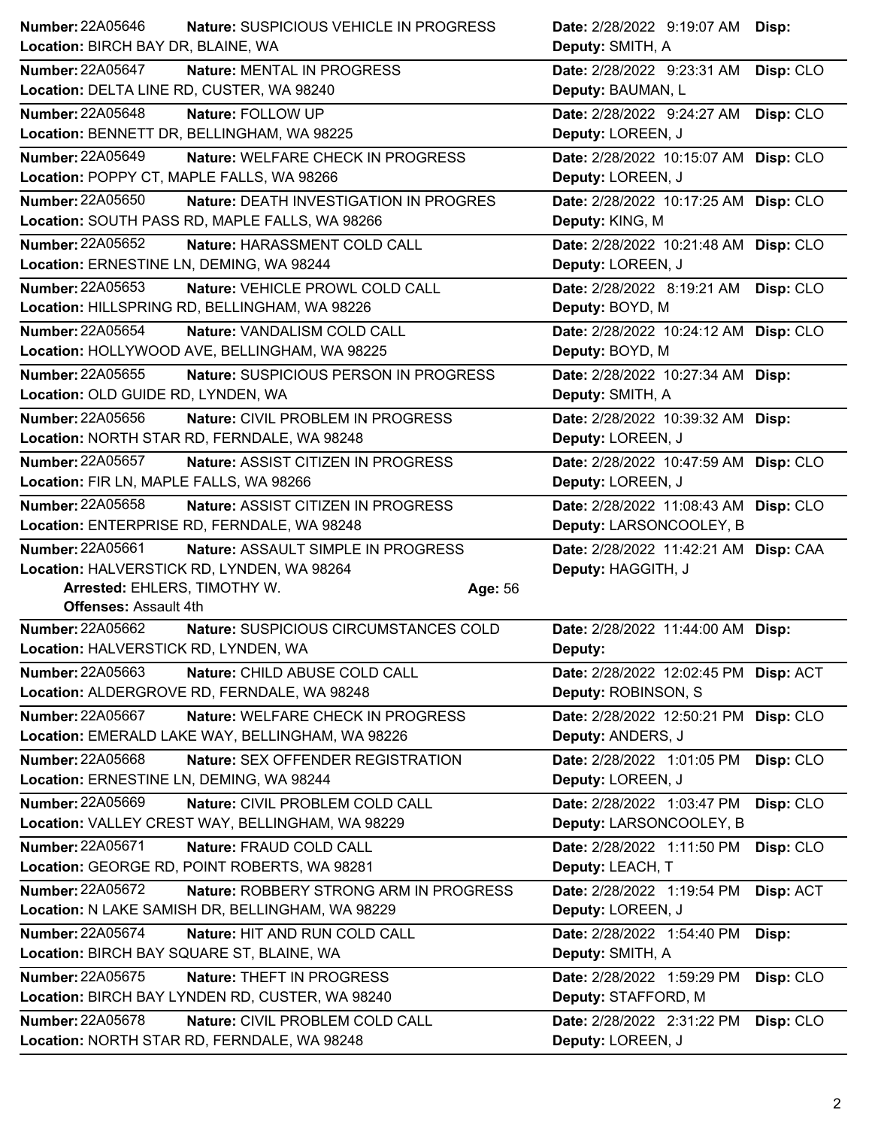| <b>Number: 22A05646</b>                   | Nature: SUSPICIOUS VEHICLE IN PROGRESS           | Date: 2/28/2022 9:19:07 AM Disp:      |           |
|-------------------------------------------|--------------------------------------------------|---------------------------------------|-----------|
| Location: BIRCH BAY DR, BLAINE, WA        |                                                  | Deputy: SMITH, A                      |           |
| <b>Number: 22A05647</b>                   | Nature: MENTAL IN PROGRESS                       | Date: 2/28/2022 9:23:31 AM            | Disp: CLO |
| Location: DELTA LINE RD, CUSTER, WA 98240 |                                                  | Deputy: BAUMAN, L                     |           |
| <b>Number: 22A05648</b>                   | Nature: FOLLOW UP                                | Date: 2/28/2022 9:24:27 AM            | Disp: CLO |
|                                           | Location: BENNETT DR, BELLINGHAM, WA 98225       | Deputy: LOREEN, J                     |           |
| <b>Number: 22A05649</b>                   | Nature: WELFARE CHECK IN PROGRESS                | Date: 2/28/2022 10:15:07 AM Disp: CLO |           |
| Location: POPPY CT, MAPLE FALLS, WA 98266 |                                                  | Deputy: LOREEN, J                     |           |
| Number: 22A05650                          | Nature: DEATH INVESTIGATION IN PROGRES           | Date: 2/28/2022 10:17:25 AM Disp: CLO |           |
|                                           | Location: SOUTH PASS RD, MAPLE FALLS, WA 98266   | Deputy: KING, M                       |           |
| Number: 22A05652                          | Nature: HARASSMENT COLD CALL                     | Date: 2/28/2022 10:21:48 AM Disp: CLO |           |
| Location: ERNESTINE LN, DEMING, WA 98244  |                                                  | Deputy: LOREEN, J                     |           |
| <b>Number: 22A05653</b>                   | Nature: VEHICLE PROWL COLD CALL                  | Date: 2/28/2022 8:19:21 AM            | Disp: CLO |
|                                           | Location: HILLSPRING RD, BELLINGHAM, WA 98226    | Deputy: BOYD, M                       |           |
| <b>Number: 22A05654</b>                   | Nature: VANDALISM COLD CALL                      | Date: 2/28/2022 10:24:12 AM Disp: CLO |           |
|                                           | Location: HOLLYWOOD AVE, BELLINGHAM, WA 98225    | Deputy: BOYD, M                       |           |
| <b>Number: 22A05655</b>                   | Nature: SUSPICIOUS PERSON IN PROGRESS            | Date: 2/28/2022 10:27:34 AM Disp:     |           |
| Location: OLD GUIDE RD, LYNDEN, WA        |                                                  | Deputy: SMITH, A                      |           |
| Number: 22A05656                          | Nature: CIVIL PROBLEM IN PROGRESS                | Date: 2/28/2022 10:39:32 AM Disp:     |           |
|                                           | Location: NORTH STAR RD, FERNDALE, WA 98248      | Deputy: LOREEN, J                     |           |
| <b>Number: 22A05657</b>                   | Nature: ASSIST CITIZEN IN PROGRESS               | Date: 2/28/2022 10:47:59 AM Disp: CLO |           |
| Location: FIR LN, MAPLE FALLS, WA 98266   |                                                  | Deputy: LOREEN, J                     |           |
| Number: 22A05658                          | Nature: ASSIST CITIZEN IN PROGRESS               | Date: 2/28/2022 11:08:43 AM Disp: CLO |           |
|                                           | Location: ENTERPRISE RD, FERNDALE, WA 98248      | Deputy: LARSONCOOLEY, B               |           |
|                                           |                                                  |                                       |           |
| <b>Number: 22A05661</b>                   | Nature: ASSAULT SIMPLE IN PROGRESS               | Date: 2/28/2022 11:42:21 AM Disp: CAA |           |
|                                           | Location: HALVERSTICK RD, LYNDEN, WA 98264       | Deputy: HAGGITH, J                    |           |
| Arrested: EHLERS, TIMOTHY W.              | Age: 56                                          |                                       |           |
| <b>Offenses: Assault 4th</b>              |                                                  |                                       |           |
| <b>Number: 22A05662</b>                   | Nature: SUSPICIOUS CIRCUMSTANCES COLD            | Date: 2/28/2022 11:44:00 AM Disp:     |           |
| Location: HALVERSTICK RD, LYNDEN, WA      |                                                  | Deputy:                               |           |
| Number: 22A05663                          | Nature: CHILD ABUSE COLD CALL                    | Date: 2/28/2022 12:02:45 PM Disp: ACT |           |
|                                           | Location: ALDERGROVE RD, FERNDALE, WA 98248      | Deputy: ROBINSON, S                   |           |
| Number: 22A05667                          | Nature: WELFARE CHECK IN PROGRESS                | Date: 2/28/2022 12:50:21 PM Disp: CLO |           |
|                                           | Location: EMERALD LAKE WAY, BELLINGHAM, WA 98226 | Deputy: ANDERS, J                     |           |
| Number: 22A05668                          | Nature: SEX OFFENDER REGISTRATION                | Date: 2/28/2022 1:01:05 PM            | Disp: CLO |
| Location: ERNESTINE LN, DEMING, WA 98244  |                                                  | Deputy: LOREEN, J                     |           |
| <b>Number: 22A05669</b>                   | Nature: CIVIL PROBLEM COLD CALL                  | Date: 2/28/2022 1:03:47 PM            | Disp: CLO |
|                                           | Location: VALLEY CREST WAY, BELLINGHAM, WA 98229 | Deputy: LARSONCOOLEY, B               |           |
| Number: 22A05671                          | Nature: FRAUD COLD CALL                          | Date: 2/28/2022 1:11:50 PM            | Disp: CLO |
|                                           | Location: GEORGE RD, POINT ROBERTS, WA 98281     | Deputy: LEACH, T                      |           |
| Number: 22A05672                          | Nature: ROBBERY STRONG ARM IN PROGRESS           | Date: 2/28/2022 1:19:54 PM            | Disp: ACT |
|                                           | Location: N LAKE SAMISH DR, BELLINGHAM, WA 98229 | Deputy: LOREEN, J                     |           |
| Number: 22A05674                          | Nature: HIT AND RUN COLD CALL                    | Date: 2/28/2022 1:54:40 PM            | Disp:     |
| Location: BIRCH BAY SQUARE ST, BLAINE, WA |                                                  | Deputy: SMITH, A                      |           |
| Number: 22A05675                          | Nature: THEFT IN PROGRESS                        | Date: 2/28/2022 1:59:29 PM            | Disp: CLO |
|                                           | Location: BIRCH BAY LYNDEN RD, CUSTER, WA 98240  | Deputy: STAFFORD, M                   |           |
| <b>Number: 22A05678</b>                   | Nature: CIVIL PROBLEM COLD CALL                  | Date: 2/28/2022 2:31:22 PM            | Disp: CLO |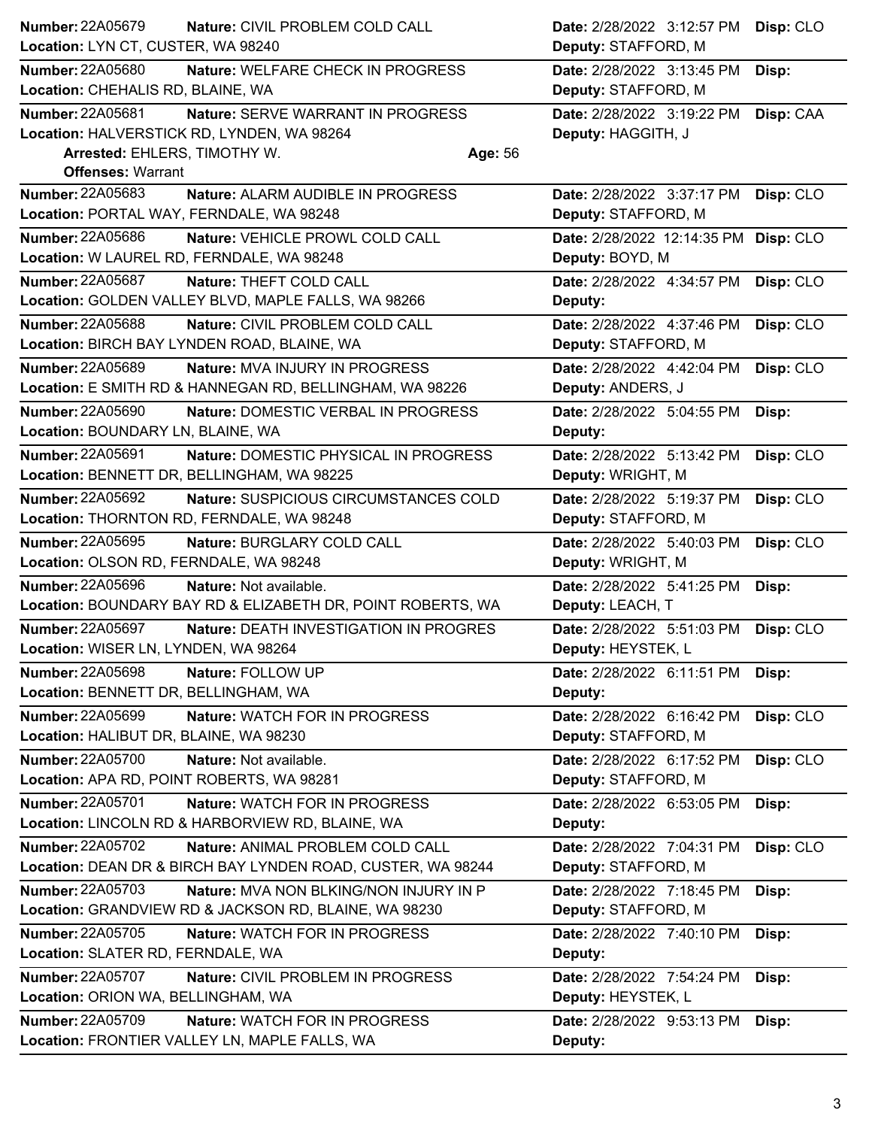| <b>Number: 22A05679</b>                   | Nature: CIVIL PROBLEM COLD CALL                             | Date: 2/28/2022 3:12:57 PM                       | Disp: CLO |
|-------------------------------------------|-------------------------------------------------------------|--------------------------------------------------|-----------|
| Location: LYN CT, CUSTER, WA 98240        |                                                             | Deputy: STAFFORD, M                              |           |
| <b>Number: 22A05680</b>                   | Nature: WELFARE CHECK IN PROGRESS                           | Date: 2/28/2022 3:13:45 PM                       | Disp:     |
| Location: CHEHALIS RD, BLAINE, WA         |                                                             | Deputy: STAFFORD, M                              |           |
| Number: 22A05681                          | Nature: SERVE WARRANT IN PROGRESS                           | Date: 2/28/2022 3:19:22 PM                       | Disp: CAA |
|                                           | Location: HALVERSTICK RD, LYNDEN, WA 98264                  | Deputy: HAGGITH, J                               |           |
| Arrested: EHLERS, TIMOTHY W.              | Age: 56                                                     |                                                  |           |
| <b>Offenses: Warrant</b>                  |                                                             |                                                  |           |
| Number: 22A05683                          | Nature: ALARM AUDIBLE IN PROGRESS                           | Date: 2/28/2022 3:37:17 PM                       | Disp: CLO |
| Location: PORTAL WAY, FERNDALE, WA 98248  |                                                             | Deputy: STAFFORD, M                              |           |
| <b>Number: 22A05686</b>                   | Nature: VEHICLE PROWL COLD CALL                             | Date: 2/28/2022 12:14:35 PM Disp: CLO            |           |
|                                           | Location: W LAUREL RD, FERNDALE, WA 98248                   | Deputy: BOYD, M                                  |           |
| Number: 22A05687                          | Nature: THEFT COLD CALL                                     | Date: 2/28/2022 4:34:57 PM                       | Disp: CLO |
|                                           | Location: GOLDEN VALLEY BLVD, MAPLE FALLS, WA 98266         | Deputy:                                          |           |
| <b>Number: 22A05688</b>                   | Nature: CIVIL PROBLEM COLD CALL                             | Date: 2/28/2022 4:37:46 PM                       | Disp: CLO |
|                                           | Location: BIRCH BAY LYNDEN ROAD, BLAINE, WA                 | Deputy: STAFFORD, M                              |           |
| Number: 22A05689                          | Nature: MVA INJURY IN PROGRESS                              | Date: 2/28/2022 4:42:04 PM                       | Disp: CLO |
|                                           | Location: E SMITH RD & HANNEGAN RD, BELLINGHAM, WA 98226    | Deputy: ANDERS, J                                |           |
| <b>Number: 22A05690</b>                   | Nature: DOMESTIC VERBAL IN PROGRESS                         | Date: 2/28/2022 5:04:55 PM                       | Disp:     |
| Location: BOUNDARY LN, BLAINE, WA         |                                                             | Deputy:                                          |           |
| Number: 22A05691                          | Nature: DOMESTIC PHYSICAL IN PROGRESS                       | Date: 2/28/2022 5:13:42 PM                       | Disp: CLO |
|                                           | Location: BENNETT DR, BELLINGHAM, WA 98225                  | Deputy: WRIGHT, M                                |           |
| <b>Number: 22A05692</b>                   | Nature: SUSPICIOUS CIRCUMSTANCES COLD                       | Date: 2/28/2022 5:19:37 PM                       | Disp: CLO |
|                                           | Location: THORNTON RD, FERNDALE, WA 98248                   | Deputy: STAFFORD, M                              |           |
| <b>Number: 22A05695</b>                   | Nature: BURGLARY COLD CALL                                  | Date: 2/28/2022 5:40:03 PM                       | Disp: CLO |
| Location: OLSON RD, FERNDALE, WA 98248    |                                                             | Deputy: WRIGHT, M                                |           |
| Number: 22A05696                          | Nature: Not available.                                      | Date: 2/28/2022 5:41:25 PM                       | Disp:     |
|                                           | Location: BOUNDARY BAY RD & ELIZABETH DR, POINT ROBERTS, WA | Deputy: LEACH, T                                 |           |
| <b>Number: 22A05697</b>                   | Nature: DEATH INVESTIGATION IN PROGRES                      | Date: 2/28/2022 5:51:03 PM                       | Disp: CLO |
| Location: WISER LN, LYNDEN, WA 98264      |                                                             | Deputy: HEYSTEK, L                               |           |
| <b>Number: 22A05698</b>                   | Nature: FOLLOW UP                                           | Date: 2/28/2022 6:11:51 PM Disp:                 |           |
| Location: BENNETT DR, BELLINGHAM, WA      |                                                             | Deputy:                                          |           |
| <b>Number: 22A05699</b>                   | Nature: WATCH FOR IN PROGRESS                               | Date: 2/28/2022 6:16:42 PM                       | Disp: CLO |
| Location: HALIBUT DR, BLAINE, WA 98230    |                                                             | Deputy: STAFFORD, M                              |           |
| <b>Number: 22A05700</b>                   | Nature: Not available.                                      | Date: 2/28/2022 6:17:52 PM                       | Disp: CLO |
| Location: APA RD, POINT ROBERTS, WA 98281 |                                                             | Deputy: STAFFORD, M                              |           |
| Number: 22A05701                          | Nature: WATCH FOR IN PROGRESS                               | Date: 2/28/2022 6:53:05 PM                       | Disp:     |
|                                           | Location: LINCOLN RD & HARBORVIEW RD, BLAINE, WA            | Deputy:                                          |           |
| Number: 22A05702                          | Nature: ANIMAL PROBLEM COLD CALL                            | Date: 2/28/2022 7:04:31 PM                       | Disp: CLO |
|                                           | Location: DEAN DR & BIRCH BAY LYNDEN ROAD, CUSTER, WA 98244 | Deputy: STAFFORD, M                              |           |
| <b>Number: 22A05703</b>                   | Nature: MVA NON BLKING/NON INJURY IN P                      | Date: 2/28/2022 7:18:45 PM                       | Disp:     |
|                                           | Location: GRANDVIEW RD & JACKSON RD, BLAINE, WA 98230       | Deputy: STAFFORD, M                              |           |
| Number: 22A05705                          | Nature: WATCH FOR IN PROGRESS                               | Date: 2/28/2022 7:40:10 PM                       |           |
| Location: SLATER RD, FERNDALE, WA         |                                                             | Deputy:                                          | Disp:     |
| Number: 22A05707                          |                                                             |                                                  |           |
| Location: ORION WA, BELLINGHAM, WA        | Nature: CIVIL PROBLEM IN PROGRESS                           | Date: 2/28/2022 7:54:24 PM<br>Deputy: HEYSTEK, L | Disp:     |
|                                           |                                                             |                                                  |           |
| <b>Number: 22A05709</b>                   | Nature: WATCH FOR IN PROGRESS                               | Date: 2/28/2022 9:53:13 PM                       | Disp:     |
|                                           | Location: FRONTIER VALLEY LN, MAPLE FALLS, WA               | Deputy:                                          |           |